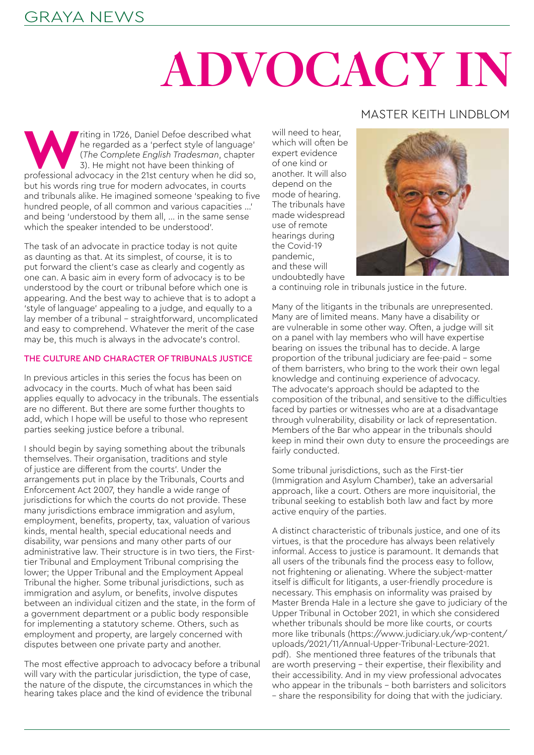# **ADVOCACY IN**

Triting in 1726, Daniel Defoe described what<br>
he regarded as a 'perfect style of language'<br>
(The Complete English Tradesman, chapter<br>
3). He might not have been thinking of<br>
professional advocacy in the 21st century when h he regarded as a 'perfect style of language' (*The Complete English Tradesman*, chapter 3). He might not have been thinking of but his words ring true for modern advocates, in courts and tribunals alike. He imagined someone 'speaking to five hundred people, of all common and various capacities …' and being 'understood by them all, … in the same sense which the speaker intended to be understood'.

The task of an advocate in practice today is not quite as daunting as that. At its simplest, of course, it is to put forward the client's case as clearly and cogently as one can. A basic aim in every form of advocacy is to be understood by the court or tribunal before which one is appearing. And the best way to achieve that is to adopt a 'style of language' appealing to a judge, and equally to a lay member of a tribunal – straightforward, uncomplicated and easy to comprehend. Whatever the merit of the case may be, this much is always in the advocate's control.

#### THE CULTURE AND CHARACTER OF TRIBUNALS JUSTICE

In previous articles in this series the focus has been on advocacy in the courts. Much of what has been said applies equally to advocacy in the tribunals. The essentials are no different. But there are some further thoughts to add, which I hope will be useful to those who represent parties seeking justice before a tribunal.

I should begin by saying something about the tribunals themselves. Their organisation, traditions and style of justice are different from the courts'. Under the arrangements put in place by the Tribunals, Courts and Enforcement Act 2007, they handle a wide range of jurisdictions for which the courts do not provide. These many jurisdictions embrace immigration and asylum, employment, benefits, property, tax, valuation of various kinds, mental health, special educational needs and disability, war pensions and many other parts of our administrative law. Their structure is in two tiers, the Firsttier Tribunal and Employment Tribunal comprising the lower; the Upper Tribunal and the Employment Appeal Tribunal the higher. Some tribunal jurisdictions, such as immigration and asylum, or benefits, involve disputes between an individual citizen and the state, in the form of a government department or a public body responsible for implementing a statutory scheme. Others, such as employment and property, are largely concerned with disputes between one private party and another.

The most effective approach to advocacy before a tribunal will vary with the particular jurisdiction, the type of case, the nature of the dispute, the circumstances in which the hearing takes place and the kind of evidence the tribunal

### MASTER KEITH LINDBLOM

will need to hear, which will often be expert evidence of one kind or another. It will also depend on the mode of hearing. The tribunals have made widespread use of remote hearings during the Covid-19 pandemic, and these will undoubtedly have



a continuing role in tribunals justice in the future.

Many of the litigants in the tribunals are unrepresented. Many are of limited means. Many have a disability or are vulnerable in some other way. Often, a judge will sit on a panel with lay members who will have expertise bearing on issues the tribunal has to decide. A large proportion of the tribunal judiciary are fee-paid – some of them barristers, who bring to the work their own legal knowledge and continuing experience of advocacy. The advocate's approach should be adapted to the composition of the tribunal, and sensitive to the difficulties faced by parties or witnesses who are at a disadvantage through vulnerability, disability or lack of representation. Members of the Bar who appear in the tribunals should keep in mind their own duty to ensure the proceedings are fairly conducted.

Some tribunal jurisdictions, such as the First-tier (Immigration and Asylum Chamber), take an adversarial approach, like a court. Others are more inquisitorial, the tribunal seeking to establish both law and fact by more active enquiry of the parties.

A distinct characteristic of tribunals justice, and one of its virtues, is that the procedure has always been relatively informal. Access to justice is paramount. It demands that all users of the tribunals find the process easy to follow, not frightening or alienating. Where the subject-matter itself is difficult for litigants, a user-friendly procedure is necessary. This emphasis on informality was praised by Master Brenda Hale in a lecture she gave to judiciary of the Upper Tribunal in October 2021, in which she considered whether tribunals should be more like courts, or courts more like tribunals (https://www.judiciary.uk/wp-content/ uploads/2021/11/Annual-Upper-Tribunal-Lecture-2021. pdf). She mentioned three features of the tribunals that are worth preserving – their expertise, their flexibility and their accessibility. And in my view professional advocates who appear in the tribunals – both barristers and solicitors – share the responsibility for doing that with the judiciary.